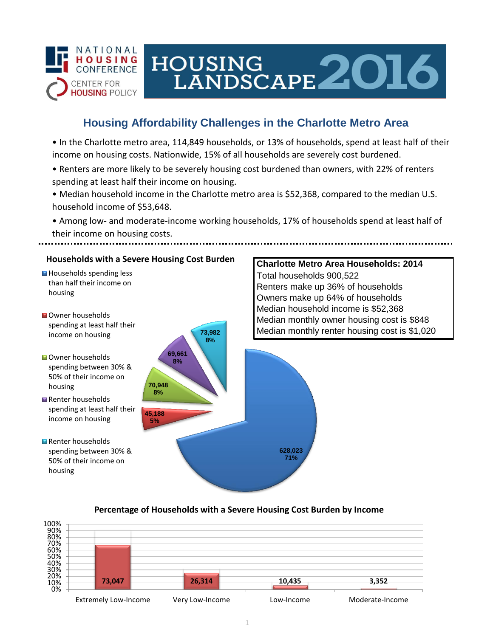

# **Housing Affordability Challenges in the Charlotte Metro Area**

HOUSING<br>LANDSCAPE 2016

• In the Charlotte metro area, 114,849 households, or 13% of households, spend at least half of their income on housing costs. Nationwide, 15% of all households are severely cost burdened.

- Renters are more likely to be severely housing cost burdened than owners, with 22% of renters spending at least half their income on housing.
- Median household income in the Charlotte metro area is \$52,368, compared to the median U.S. household income of \$53,648.
- Among low- and moderate-income working households, 17% of households spend at least half of their income on housing costs.

### **Households with a Severe Housing Cost Burden**

- Households spending less than half their income on housing
- **N**Owner households spending at least half their income on housing
- **Owner households** spending between 30% & 50% of their income on housing
- Renter households spending at least half their income on housing
- Renter households spending between 30% & 50% of their income on housing



# **Charlotte Metro Area Households: 2014** Total households 900,522 Renters make up 36% of households Owners make up 64% of households Median household income is \$52,368 Median monthly owner housing cost is \$848 Median monthly renter housing cost is \$1,020

#### **Percentage of Households with a Severe Housing Cost Burden by Income**